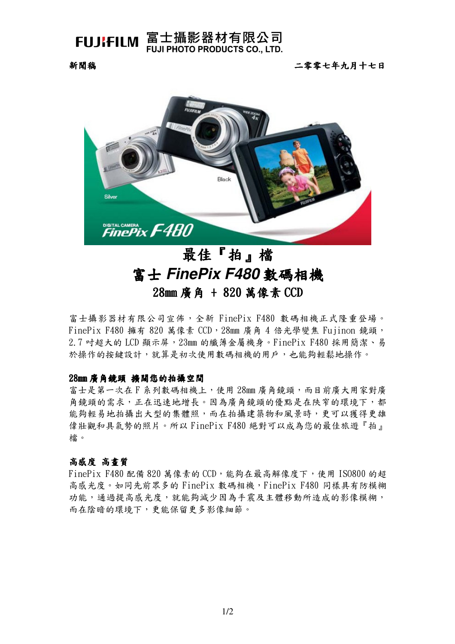

## FUJIFILM 富士攝影器材有限公司 **FUJI PHOTO PRODUCTS CO., LTD.**

新聞稿

二零零七年九月十七日



# 最佳『拍』檔 富士 FinePix F480 數碼相機 28mm 廣角 + 820 萬像素 CCD

富士攝影器材有限公司宣佈,全新 FinePix F480 數碼相機正式隆重登場。 FinePix F480 擁有 820 萬像素 CCD, 28mm 廣角 4 倍光學變焦 Fujinon 鏡頭, 2.7 吋超大的 LCD 顯示屏, 23mm 的纖薄金屬機身。FinePix F480 採用簡潔、易 於操作的按鍵設計,就算是初次使用數碼相機的用戶,也能夠輕鬆地操作。

#### 28mm 廣角鏡頭 擴闊您的拍攝空間

富士是第一次在下系列數碼相機上,使用 28mm 廣角鏡頭,而目前廣大用家對廣 角鏡頭的需求,正在迅速地增長。因為廣角鏡頭的優點是在陝窄的環境下,都 能夠輕易地拍攝出大型的集體照,而在拍攝建築物和風景時,更可以獲得更雄 偉壯觀和具氣勢的照片。所以 FinePix F480 絕對可以成為您的最佳旅遊『拍』 檔。

#### 高感度 高畫質

FinePix F480 配備 820 萬像素的 CCD,能夠在最高解像度下,使用 IS0800 的超 高感光度。如同先前眾多的 FinePix 數碼相機, FinePix F480 同樣具有防模糊 功能,通過提高感光度,就能夠減少因為手震及主體移動所造成的影像模糊, 而在陰暗的環境下,更能保留更多影像細節。